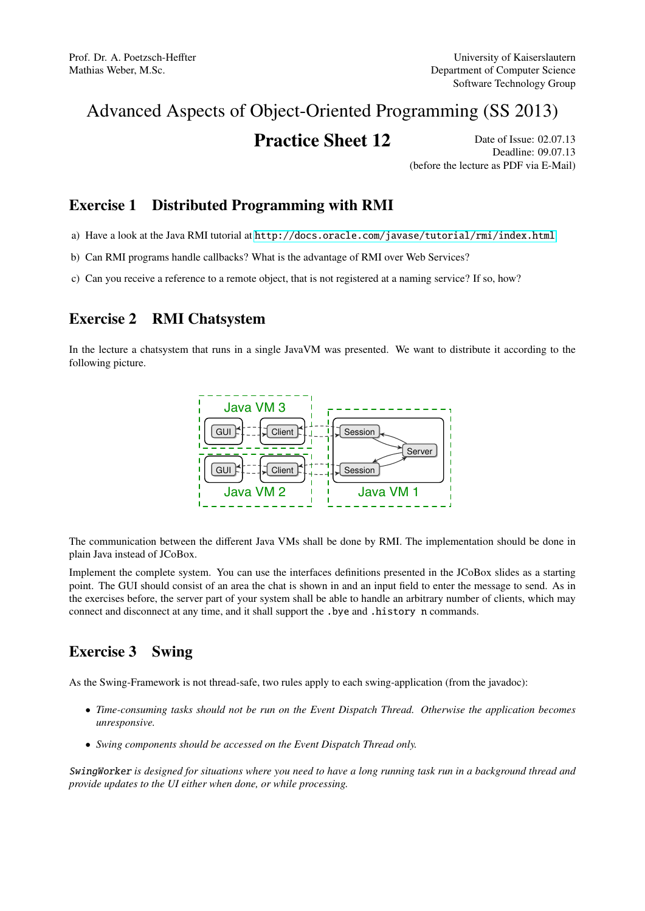# Advanced Aspects of Object-Oriented Programming (SS 2013)

## **Practice Sheet 12** Date of Issue: 02.07.13

Deadline: 09.07.13 (before the lecture as PDF via E-Mail)

#### Exercise 1 Distributed Programming with RMI

- a) Have a look at the Java RMI tutorial at <http://docs.oracle.com/javase/tutorial/rmi/index.html>
- b) Can RMI programs handle callbacks? What is the advantage of RMI over Web Services?
- c) Can you receive a reference to a remote object, that is not registered at a naming service? If so, how?

### Exercise 2 RMI Chatsystem

In the lecture a chatsystem that runs in a single JavaVM was presented. We want to distribute it according to the following picture.



 $\mathbf{v}$  on  $\mathbf{v}$  m,  $\mathbf{v}$ plain Java instead of JCoBox. The communication between the different Java VMs shall be done by RMI. The implementation should be done in

tem. You can use the interfaces definitions presented in the JC point. The GUI should consist of an area the chat is shown in and an input field to enter the message to send. As in the exercises before, the server part of your system shall be able to handle an arbitrary number of clients, which may Implement the complete system. You can use the interfaces definitions presented in the JCoBox slides as a starting connect and disconnect at any time, and it shall support the .bye and .history n commands.

#### $\mathbf{q}$ Exercise 3 Swing

As the Swing-Framework is not thread-safe, two rules apply to each swing-application (from the javadoc):

- *Time-consuming tasks should not be run on the Event Dispatch Thread. Otherwise the application becomes unresponsive.*
- *Swing components should be accessed on the Event Dispatch Thread only.*

SwingWorker *is designed for situations where you need to have a long running task run in a background thread and provide updates to the UI either when done, or while processing.*